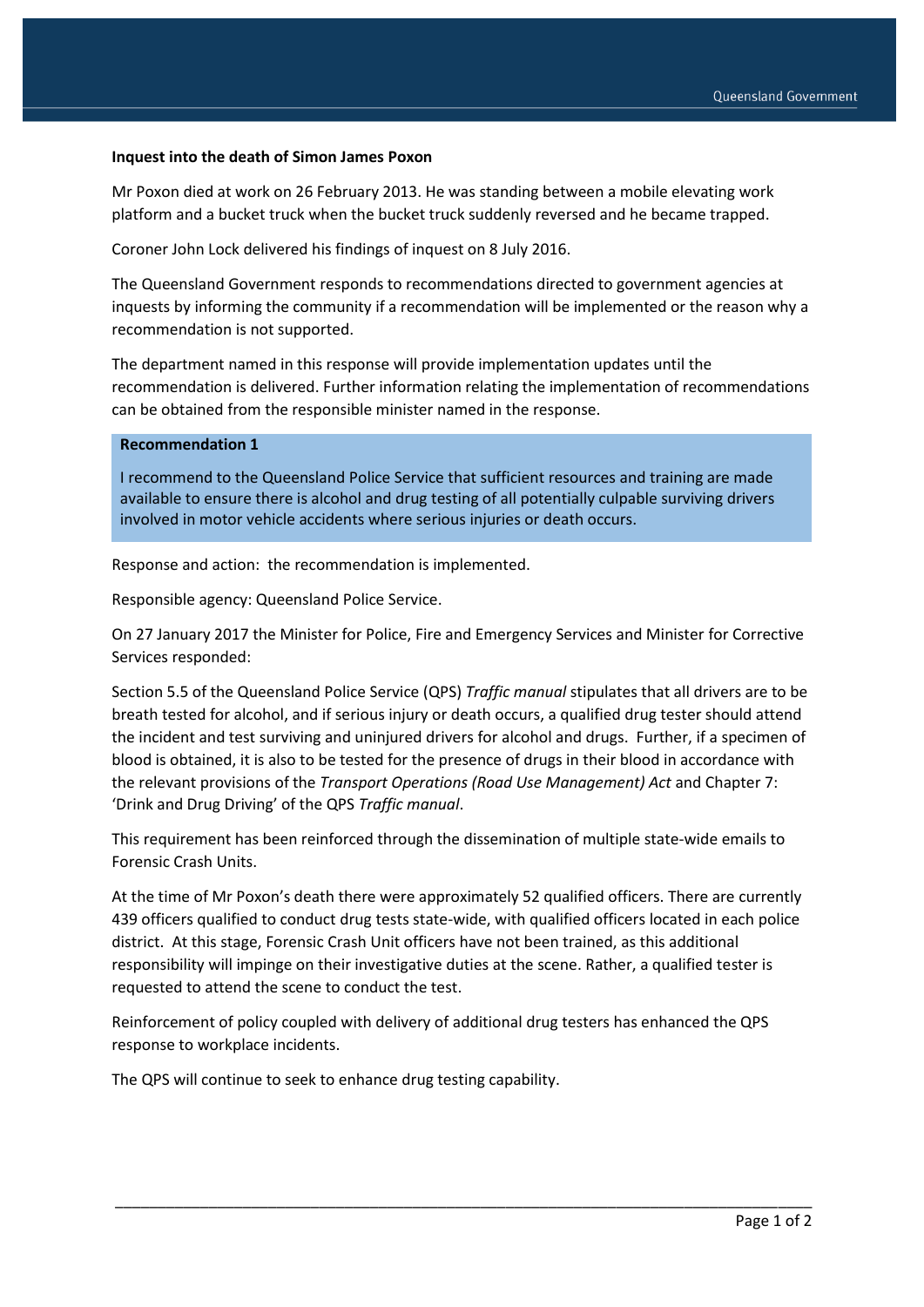## **Inquest into the death of Simon James Poxon**

Mr Poxon died at work on 26 February 2013. He was standing between a mobile elevating work platform and a bucket truck when the bucket truck suddenly reversed and he became trapped.

Coroner John Lock delivered his findings of inquest on 8 July 2016.

The Queensland Government responds to recommendations directed to government agencies at inquests by informing the community if a recommendation will be implemented or the reason why a recommendation is not supported.

The department named in this response will provide implementation updates until the recommendation is delivered. Further information relating the implementation of recommendations can be obtained from the responsible minister named in the response.

#### **Recommendation 1**

I recommend to the Queensland Police Service that sufficient resources and training are made available to ensure there is alcohol and drug testing of all potentially culpable surviving drivers involved in motor vehicle accidents where serious injuries or death occurs.

Response and action: the recommendation is implemented.

Responsible agency: Queensland Police Service.

On 27 January 2017 the Minister for Police, Fire and Emergency Services and Minister for Corrective Services responded:

Section 5.5 of the Queensland Police Service (QPS) *Traffic manual* stipulates that all drivers are to be breath tested for alcohol, and if serious injury or death occurs, a qualified drug tester should attend the incident and test surviving and uninjured drivers for alcohol and drugs. Further, if a specimen of blood is obtained, it is also to be tested for the presence of drugs in their blood in accordance with the relevant provisions of the *Transport Operations (Road Use Management) Act* and Chapter 7: 'Drink and Drug Driving' of the QPS *Traffic manual*.

This requirement has been reinforced through the dissemination of multiple state-wide emails to Forensic Crash Units.

At the time of Mr Poxon's death there were approximately 52 qualified officers. There are currently 439 officers qualified to conduct drug tests state-wide, with qualified officers located in each police district. At this stage, Forensic Crash Unit officers have not been trained, as this additional responsibility will impinge on their investigative duties at the scene. Rather, a qualified tester is requested to attend the scene to conduct the test.

Reinforcement of policy coupled with delivery of additional drug testers has enhanced the QPS response to workplace incidents.

\_\_\_\_\_\_\_\_\_\_\_\_\_\_\_\_\_\_\_\_\_\_\_\_\_\_\_\_\_\_\_\_\_\_\_\_\_\_\_\_\_\_\_\_\_\_\_\_\_\_\_\_\_\_\_\_\_\_\_\_\_\_\_\_\_\_\_\_\_\_\_\_\_\_\_\_\_\_\_\_\_\_

The QPS will continue to seek to enhance drug testing capability.